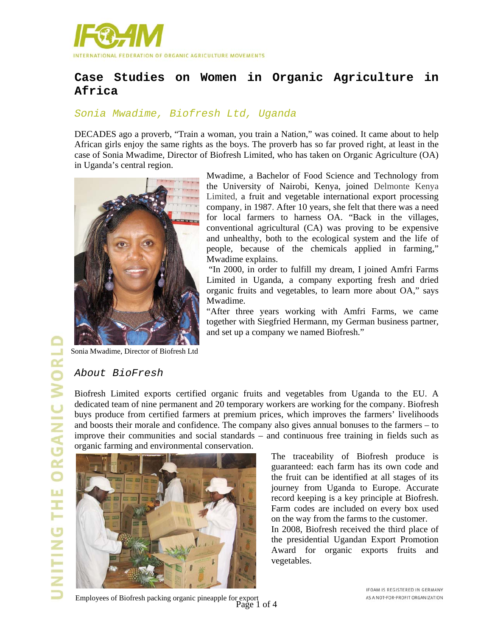

# **Case Studies on Women in Organic Agriculture in Africa**

#### *Sonia Mwadime, Biofresh Ltd, Uganda*

DECADES ago a proverb, "Train a woman, you train a Nation," was coined. It came about to help African girls enjoy the same rights as the boys. The proverb has so far proved right, at least in the case of Sonia Mwadime, Director of Biofresh Limited, who has taken on Organic Agriculture (OA) in Uganda's central region.



Mwadime, a Bachelor of Food Science and Technology from the University of Nairobi, Kenya, joined Delmonte Kenya Limited, a fruit and vegetable international export processing company, in 1987. After 10 years, she felt that there was a need for local farmers to harness OA. "Back in the villages, conventional agricultural (CA) was proving to be expensive and unhealthy, both to the ecological system and the life of people, because of the chemicals applied in farming," Mwadime explains.

 "In 2000, in order to fulfill my dream, I joined Amfri Farms Limited in Uganda, a company exporting fresh and dried organic fruits and vegetables, to learn more about OA," says Mwadime.

"After three years working with Amfri Farms, we came together with Siegfried Hermann, my German business partner, and set up a company we named Biofresh."

Sonia Mwadime, Director of Biofresh Ltd

#### *About BioFresh*

Biofresh Limited exports certified organic fruits and vegetables from Uganda to the EU. A dedicated team of nine permanent and 20 temporary workers are working for the company. Biofresh buys produce from certified farmers at premium prices, which improves the farmers' livelihoods and boosts their morale and confidence. The company also gives annual bonuses to the farmers – to improve their communities and social standards – and continuous free training in fields such as organic farming and environmental conservation.



The traceability of Biofresh produce is guaranteed: each farm has its own code and the fruit can be identified at all stages of its journey from Uganda to Europe. Accurate record keeping is a key principle at Biofresh. Farm codes are included on every box used on the way from the farms to the customer.

In 2008, Biofresh received the third place of the presidential Ugandan Export Promotion Award for organic exports fruits and vegetables.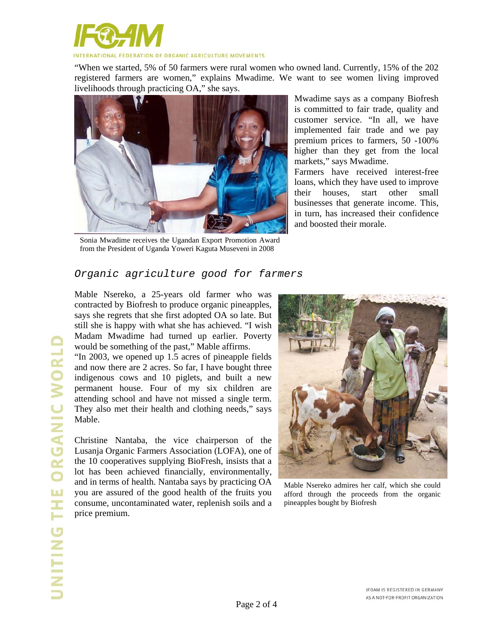

"When we started, 5% of 50 farmers were rural women who owned land. Currently, 15% of the 202 registered farmers are women," explains Mwadime. We want to see women living improved livelihoods through practicing OA," she says.



Sonia Mwadime receives the Ugandan Export Promotion Award from the President of Uganda Yoweri Kaguta Museveni in 2008

Mwadime says as a company Biofresh is committed to fair trade, quality and customer service. "In all, we have implemented fair trade and we pay premium prices to farmers, 50 -100% higher than they get from the local markets," says Mwadime.

Farmers have received interest-free loans, which they have used to improve their houses, start other small businesses that generate income. This, in turn, has increased their confidence and boosted their morale.

## *Organic agriculture good for farmers*

Mable Nsereko, a 25-years old farmer who was contracted by Biofresh to produce organic pineapples, says she regrets that she first adopted OA so late. But still she is happy with what she has achieved. "I wish Madam Mwadime had turned up earlier. Poverty would be something of the past," Mable affirms.

"In 2003, we opened up 1.5 acres of pineapple fields and now there are 2 acres. So far, I have bought three indigenous cows and 10 piglets, and built a new permanent house. Four of my six children are attending school and have not missed a single term. They also met their health and clothing needs," says Mable.

Christine Nantaba, the vice chairperson of the Lusanja Organic Farmers Association (LOFA), one of the 10 cooperatives supplying BioFresh, insists that a lot has been achieved financially, environmentally, and in terms of health. Nantaba says by practicing OA you are assured of the good health of the fruits you consume, uncontaminated water, replenish soils and a price premium.



Mable Nsereko admires her calf, which she could afford through the proceeds from the organic pineapples bought by Biofresh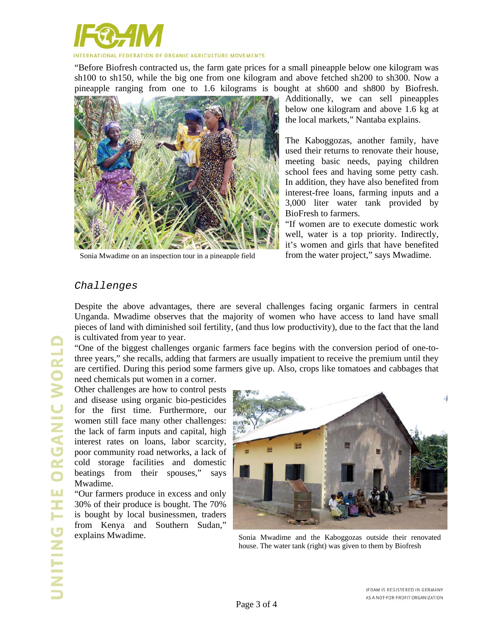

"Before Biofresh contracted us, the farm gate prices for a small pineapple below one kilogram was sh100 to sh150, while the big one from one kilogram and above fetched sh200 to sh300. Now a pineapple ranging from one to 1.6 kilograms is bought at sh600 and sh800 by Biofresh.



Sonia Mwadime on an inspection tour in a pineapple field

Additionally, we can sell pineapples below one kilogram and above 1.6 kg at the local markets," Nantaba explains.

The Kaboggozas, another family, have used their returns to renovate their house, meeting basic needs, paying children school fees and having some petty cash. In addition, they have also benefited from interest-free loans, farming inputs and a 3,000 liter water tank provided by BioFresh to farmers.

"If women are to execute domestic work well, water is a top priority. Indirectly, it's women and girls that have benefited from the water project," says Mwadime.

## *Challenges*

Despite the above advantages, there are several challenges facing organic farmers in central Unganda. Mwadime observes that the majority of women who have access to land have small pieces of land with diminished soil fertility, (and thus low productivity), due to the fact that the land is cultivated from year to year.

"One of the biggest challenges organic farmers face begins with the conversion period of one-tothree years," she recalls, adding that farmers are usually impatient to receive the premium until they are certified. During this period some farmers give up. Also, crops like tomatoes and cabbages that need chemicals put women in a corner.

Other challenges are how to control pests and disease using organic bio-pesticides for the first time. Furthermore, our women still face many other challenges: the lack of farm inputs and capital, high interest rates on loans, labor scarcity, poor community road networks, a lack of cold storage facilities and domestic beatings from their spouses," says Mwadime.

"Our farmers produce in excess and only 30% of their produce is bought. The 70% is bought by local businessmen, traders from Kenya and Southern Sudan," explains Mwadime.



Sonia Mwadime and the Kaboggozas outside their renovated house. The water tank (right) was given to them by Biofresh